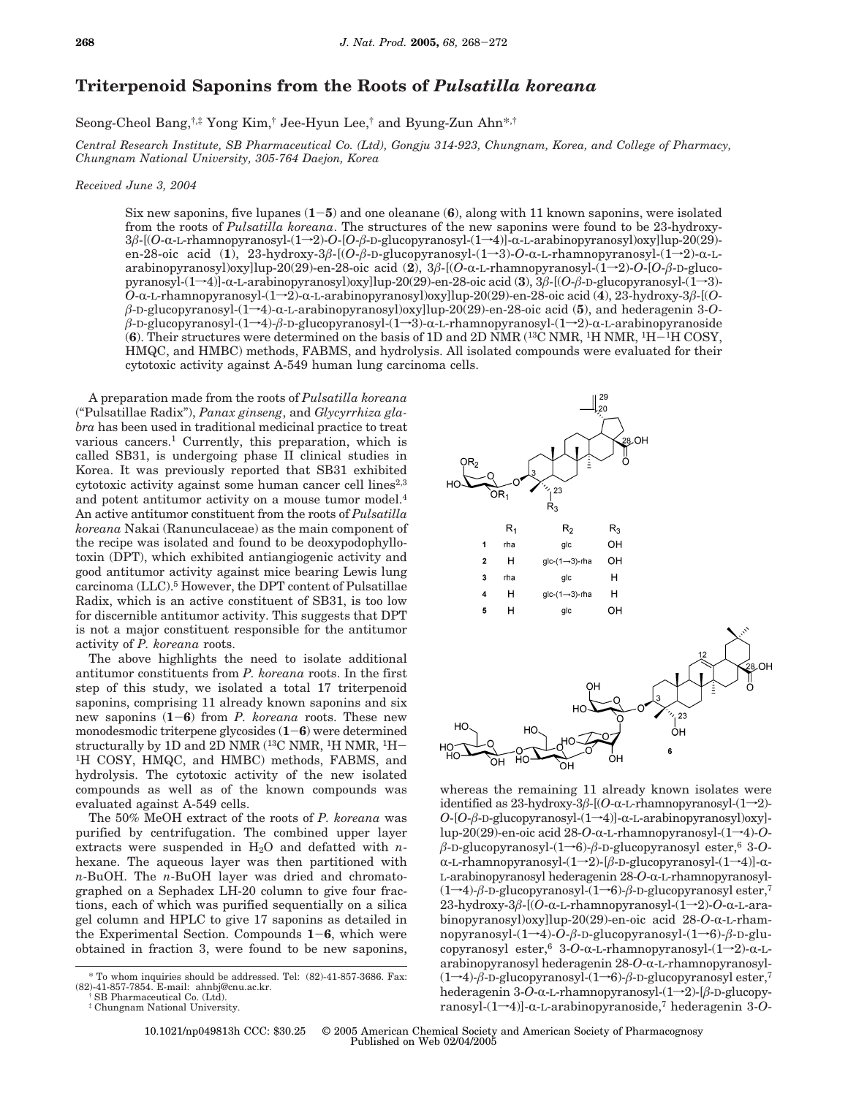## **Triterpenoid Saponins from the Roots of** *Pulsatilla koreana*

Seong-Cheol Bang,†,‡ Yong Kim,† Jee-Hyun Lee,† and Byung-Zun Ahn\*,†

*Central Research Institute, SB Pharmaceutical Co. (Ltd), Gongju 314-923, Chungnam, Korea, and College of Pharmacy, Chungnam National University, 305-764 Daejon, Korea*

## *Received June 3, 2004*

Six new saponins, five lupanes (**1**-**5**) and one oleanane (**6**), along with 11 known saponins, were isolated from the roots of *Pulsatilla koreana*. The structures of the new saponins were found to be 23-hydroxy-<sup>3</sup>*â*-[(*O*-R-L-rhamnopyranosyl-(1f2)-*O*-[*O*-*â*-D-glucopyranosyl-(1f4)]-R-L-arabinopyranosyl)oxy]lup-20(29) en-28-oic acid (1), 23-hydroxy-3β-[(O-β-D-glucopyranosyl-(1→3)-O-α-L-rhamnopyranosyl-(1→2)-α-Larabinopyranosyl)oxy]lup-20(29)-en-28-oic acid (**2**), 3*â*-[(*O*-R-L-rhamnopyranosyl-(1f2)-*O*-[*O*-*â*-D-glucopyranosyl-(1f4)]-R-L-arabinopyranosyl)oxy]lup-20(29)-en-28-oic acid (**3**), 3*â*-[(*O*-*â*-D-glucopyranosyl-(1f3)- *<sup>O</sup>*-R-L-rhamnopyranosyl-(1f2)-R-L-arabinopyranosyl)oxy]lup-20(29)-en-28-oic acid (**4**), 23-hydroxy-3*â*-[(*O* $β$ -D-glucopyranosyl-(1→4)-α-L-arabinopyranosyl)oxy]lup-20(29)-en-28-oic acid (**5**), and hederagenin 3-*Oβ-*D-glucopyranosyl-(1→4)-*β-*D-glucopyranosyl-(1→3)-α-L-rhamnopyranosyl-(1→2)-α-L-arabinopyranoside (**6**). Their structures were determined on the basis of 1D and 2D NMR (13C NMR, 1H NMR, 1H-1H COSY, HMQC, and HMBC) methods, FABMS, and hydrolysis. All isolated compounds were evaluated for their cytotoxic activity against A-549 human lung carcinoma cells.

A preparation made from the roots of *Pulsatilla koreana* ("Pulsatillae Radix"), *Panax ginseng*, and *Glycyrrhiza glabra* has been used in traditional medicinal practice to treat various cancers.1 Currently, this preparation, which is called SB31, is undergoing phase II clinical studies in Korea. It was previously reported that SB31 exhibited cytotoxic activity against some human cancer cell lines<sup>2,3</sup> and potent antitumor activity on a mouse tumor model.<sup>4</sup> An active antitumor constituent from the roots of *Pulsatilla koreana* Nakai (Ranunculaceae) as the main component of the recipe was isolated and found to be deoxypodophyllotoxin (DPT), which exhibited antiangiogenic activity and good antitumor activity against mice bearing Lewis lung carcinoma (LLC).5 However, the DPT content of Pulsatillae Radix, which is an active constituent of SB31, is too low for discernible antitumor activity. This suggests that DPT is not a major constituent responsible for the antitumor activity of *P. koreana* roots.

The above highlights the need to isolate additional antitumor constituents from *P. koreana* roots. In the first step of this study, we isolated a total 17 triterpenoid saponins, comprising 11 already known saponins and six new saponins (**1**-**6**) from *P. koreana* roots. These new monodesmodic triterpene glycosides  $(1-6)$  were determined<br>structurally by 1D and 2D NMR <sup>(13</sup>C NMR, <sup>1</sup>H NMR, <sup>1</sup>H-<sup>1</sup>H COSY, HMQC, and HMBC) methods, FABMS, and hydrolysis. The cytotoxic activity of the new isolated compounds as well as of the known compounds was evaluated against A-549 cells.

The 50% MeOH extract of the roots of *P. koreana* was purified by centrifugation. The combined upper layer extracts were suspended in  $H_2O$  and defatted with *n*hexane. The aqueous layer was then partitioned with *n*-BuOH. The *n*-BuOH layer was dried and chromatographed on a Sephadex LH-20 column to give four fractions, each of which was purified sequentially on a silica gel column and HPLC to give 17 saponins as detailed in the Experimental Section. Compounds **<sup>1</sup>**-**6**, which were obtained in fraction 3, were found to be new saponins,



whereas the remaining 11 already known isolates were identified as  $23$ -hydroxy- $3\beta$ -[(O- $\alpha$ -L-rhamnopyranosyl- $(1\rightarrow 2)$ - $O$ - $[O$ - $\beta$ -D-glucopyranosyl- $(1\rightarrow 4)$ ]- $\alpha$ -L-arabinopyranosyl)oxy]lup-20(29)-en-oic acid  $28$ -*O*- $\alpha$ -L-rhamnopyranosyl- $(1\rightarrow 4)$ -*O*- $\beta$ -D-glucopyranosyl- $(1\rightarrow 6)$ - $\beta$ -D-glucopyranosyl ester,<sup>6</sup> 3-*O*- $\alpha$ -L-rhamnopyranosyl- $(1\rightarrow 2)$ -[ $\beta$ -D-glucopyranosyl- $(1\rightarrow 4)$ ]- $\alpha$ -L-arabinopyranosyl hederagenin 28-*O*-α-L-rhamnopyranosyl- $(1\rightarrow 4)$ - $\beta$ -D-glucopyranosyl- $(1\rightarrow 6)$ - $\beta$ -D-glucopyranosyl ester,<sup>7</sup>  $23$ -hydroxy- $3\beta$ - $[$ (*O*- $\alpha$ -L-rhamnopyranosyl- $(1\rightarrow 2)$ -*O*- $\alpha$ -L-arabinopyranosyl)oxy]lup-20(29)-en-oic acid 28-O-α-L-rhamnopyranosyl-(1f4)-*O*-*â*-D-glucopyranosyl-(1f6)-*â*-D-glucopyranosyl ester,  $6 \text{ } 3$ -O- $\alpha$ -L-rhamnopyranosyl- $(1\rightarrow 2)$ - $\alpha$ -Larabinopyranosyl hederagenin 28-O-a-L-rhamnopyranosyl-(1→4)-β-D-glucopyranosyl-(1→6)-β-D-glucopyranosyl ester,<sup>7</sup> hederagenin  $3-O-α-L-rhamnopy ranosyl-(1\rightarrow 2)-[\beta-D-glucopy$ ranosyl- $(1\rightarrow 4)$ ]- $\alpha$ -L-arabinopyranoside,<sup>7</sup> hederagenin 3-*O*-

10.1021/np049813h CCC: \$30.25 © 2005 American Chemical Society and American Society of Pharmacognosy Published on Web 02/04/2005

<sup>\*</sup> To whom inquiries should be addressed. Tel: (82)-41-857-3686. Fax: (82)-41-857-7854. E-mail: ahnbj@cnu.ac.kr.

<sup>†</sup> SB Pharmaceutical Co. (Ltd).

<sup>‡</sup> Chungnam National University.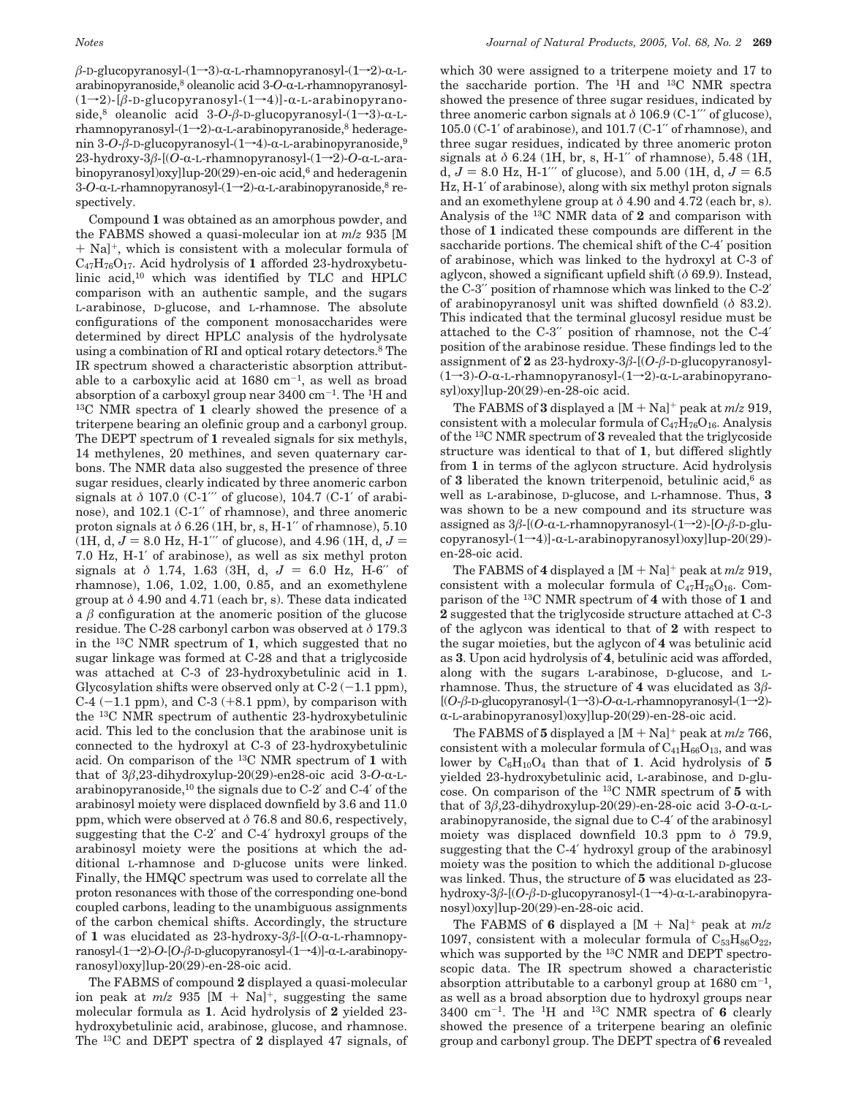$\beta$ -D-glucopyranosyl- $(1\rightarrow 3)$ - $\alpha$ -L-rhamnopyranosyl- $(1\rightarrow 2)$ - $\alpha$ -Larabinopyranoside,<sup>8</sup> oleanolic acid 3-*O*-α-L-rhamnopyranosyl-(1→2)-[β-D-glucopyranosyl-(1→4)]-α-L-arabinopyranoside,<sup>8</sup> oleanolic acid 3-O-β-D-glucopyranosyl-(1→3)-α-Lrhamnopyranosyl- $(1\rightarrow 2)$ - $\alpha$ -L-arabinopyranoside,<sup>8</sup> hederagenin 3-*O*-β-D-glucopyranosyl-(1→4)-α-L-arabinopyranoside,<sup>9</sup> 23-hydroxy-3β-[(O-α-L-rhamnopyranosyl-(1→2)-O-α-L-arabinopyranosyl)oxy]lup-20(29)-en-oic acid,<sup>6</sup> and hederagenin 3-*O*-α-L-rhamnopyranosyl-(1-2)-α-L-arabinopyranoside,<sup>8</sup> respectively.

Compound **1** was obtained as an amorphous powder, and the FABMS showed a quasi-molecular ion at *m*/*z* 935 [M <sup>+</sup> Na]+, which is consistent with a molecular formula of C47H76O17. Acid hydrolysis of **1** afforded 23-hydroxybetulinic acid,10 which was identified by TLC and HPLC comparison with an authentic sample, and the sugars L-arabinose, D-glucose, and L-rhamnose. The absolute configurations of the component monosaccharides were determined by direct HPLC analysis of the hydrolysate using a combination of RI and optical rotary detectors.<sup>8</sup> The IR spectrum showed a characteristic absorption attributable to a carboxylic acid at  $1680 \text{ cm}^{-1}$ , as well as broad absorption of a carboxyl group near  $3400 \text{ cm}^{-1}$ . The <sup>1</sup>H and  $^{13}$ C NMR spectra of 1 clearly showed the presence of a triterpene bearing an olefinic group and a carbonyl group. The DEPT spectrum of **1** revealed signals for six methyls, 14 methylenes, 20 methines, and seven quaternary carbons. The NMR data also suggested the presence of three sugar residues, clearly indicated by three anomeric carbon signals at *δ* 107.0 (C-1′′′ of glucose), 104.7 (C-1′ of arabinose), and 102.1 (C-1′′ of rhamnose), and three anomeric proton signals at *δ* 6.26 (1H, br, s, H-1′′ of rhamnose), 5.10  $(1H, d, J = 8.0$  Hz, H-1<sup>'''</sup> of glucose), and 4.96 (1H, d,  $J =$ 7.0 Hz, H-1′ of arabinose), as well as six methyl proton signals at  $\delta$  1.74, 1.63 (3H, d,  $J = 6.0$  Hz, H-6″ of rhamnose), 1.06, 1.02, 1.00, 0.85, and an exomethylene group at  $\delta$  4.90 and 4.71 (each br, s). These data indicated a  $\beta$  configuration at the anomeric position of the glucose residue. The C-28 carbonyl carbon was observed at *δ* 179.3 in the 13C NMR spectrum of **1**, which suggested that no sugar linkage was formed at C-28 and that a triglycoside was attached at C-3 of 23-hydroxybetulinic acid in **1**. Glycosylation shifts were observed only at  $C-2$  (-1.1 ppm), C-4  $(-1.1$  ppm), and C-3  $(+8.1$  ppm), by comparison with the 13C NMR spectrum of authentic 23-hydroxybetulinic acid. This led to the conclusion that the arabinose unit is connected to the hydroxyl at C-3 of 23-hydroxybetulinic acid. On comparison of the 13C NMR spectrum of **1** with that of  $3\beta$ , 23-dihydroxylup-20(29)-en28-oic acid  $3$ -O- $\alpha$ -Larabinopyranoside,10 the signals due to C-2′ and C-4′ of the arabinosyl moiety were displaced downfield by 3.6 and 11.0 ppm, which were observed at *δ* 76.8 and 80.6, respectively, suggesting that the C-2′ and C-4′ hydroxyl groups of the arabinosyl moiety were the positions at which the additional L-rhamnose and D-glucose units were linked. Finally, the HMQC spectrum was used to correlate all the proton resonances with those of the corresponding one-bond coupled carbons, leading to the unambiguous assignments of the carbon chemical shifts. Accordingly, the structure of 1 was elucidated as  $23$ -hydroxy- $3\beta$ -[(O- $\alpha$ -L-rhamnopyranosyl-(1→2)-*O*-[*O-β*-D-glucopyranosyl-(1→4)]-α-L-arabinopyranosyl)oxy]lup-20(29)-en-28-oic acid.

The FABMS of compound **2** displayed a quasi-molecular ion peak at  $m/z$  935 [M + Na]<sup>+</sup>, suggesting the same molecular formula as **1**. Acid hydrolysis of **2** yielded 23 hydroxybetulinic acid, arabinose, glucose, and rhamnose. The 13C and DEPT spectra of **2** displayed 47 signals, of which 30 were assigned to a triterpene moiety and 17 to the saccharide portion. The 1H and 13C NMR spectra showed the presence of three sugar residues, indicated by three anomeric carbon signals at *δ* 106.9 (C-1′′′ of glucose), 105.0 (C-1′ of arabinose), and 101.7 (C-1′′ of rhamnose), and three sugar residues, indicated by three anomeric proton signals at *δ* 6.24 (1H, br, s, H-1′′ of rhamnose), 5.48 (1H, d,  $J = 8.0$  Hz, H-1<sup> $\prime\prime\prime$ </sup> of glucose), and 5.00 (1H, d,  $J = 6.5$ Hz, H-1′ of arabinose), along with six methyl proton signals and an exomethylene group at  $\delta$  4.90 and 4.72 (each br, s). Analysis of the 13C NMR data of **2** and comparison with those of **1** indicated these compounds are different in the saccharide portions. The chemical shift of the C-4′ position of arabinose, which was linked to the hydroxyl at C-3 of aglycon, showed a significant upfield shift (*δ* 69.9). Instead, the C-3′′ position of rhamnose which was linked to the C-2′ of arabinopyranosyl unit was shifted downfield (*δ* 83.2). This indicated that the terminal glucosyl residue must be attached to the C-3′′ position of rhamnose, not the C-4′ position of the arabinose residue. These findings led to the assignment of **2** as 23-hydroxy-3*â*-[(*O*-*â*-D-glucopyranosyl-  $(1\rightarrow 3)$ -O- $\alpha$ -L-rhamnopyranosyl- $(1\rightarrow 2)$ - $\alpha$ -L-arabinopyranosyl)oxy]lup-20(29)-en-28-oic acid.

The FABMS of **3** displayed a  $[M + Na]^+$  peak at  $m/z$  919, consistent with a molecular formula of  $C_{47}H_{76}O_{16}$ . Analysis of the 13C NMR spectrum of **3** revealed that the triglycoside structure was identical to that of **1**, but differed slightly from **1** in terms of the aglycon structure. Acid hydrolysis of **3** liberated the known triterpenoid, betulinic acid,6 as well as L-arabinose, D-glucose, and L-rhamnose. Thus, **3** was shown to be a new compound and its structure was assigned as  $3\beta$ -[(*O*- $\alpha$ -L-rhamnopyranosyl- $(1\rightarrow 2)$ -[*O-* $\beta$ -D-glucopyranosyl $-(1\rightarrow 4)$ ]- $\alpha$ -L-arabinopyranosyl)oxy]lup-20(29)en-28-oic acid.

The FABMS of 4 displayed a  $[M + Na]^+$  peak at  $m/z$  919, consistent with a molecular formula of  $C_{47}H_{76}O_{16}$ . Comparison of the 13C NMR spectrum of **4** with those of **1** and **2** suggested that the triglycoside structure attached at C-3 of the aglycon was identical to that of **2** with respect to the sugar moieties, but the aglycon of **4** was betulinic acid as **3**. Upon acid hydrolysis of **4**, betulinic acid was afforded, along with the sugars L-arabinose, D-glucose, and Lrhamnose. Thus, the structure of **4** was elucidated as 3*â*- [(*O*-β-D-glucopyranosyl-(1→3)-*O*-α-L-rhamnopyranosyl-(1→2)-R-L-arabinopyranosyl)oxy]lup-20(29)-en-28-oic acid.

The FABMS of 5 displayed a  $[M + Na]^+$  peak at  $m/z$  766, consistent with a molecular formula of  $C_{41}H_{66}O_{13}$ , and was lower by  $C_6H_{10}O_4$  than that of 1. Acid hydrolysis of 5 yielded 23-hydroxybetulinic acid, L-arabinose, and D-glucose. On comparison of the 13C NMR spectrum of **5** with that of  $3\beta$ ,23-dihydroxylup-20(29)-en-28-oic acid  $3$ -O- $\alpha$ -Larabinopyranoside, the signal due to C-4′ of the arabinosyl moiety was displaced downfield 10.3 ppm to *δ* 79.9, suggesting that the C-4′ hydroxyl group of the arabinosyl moiety was the position to which the additional D-glucose was linked. Thus, the structure of **5** was elucidated as 23 hydroxy-3β-[(*O*-β-D-glucopyranosyl-(1→4)-α-L-arabinopyranosyl)oxy]lup-20(29)-en-28-oic acid.

The FABMS of **6** displayed a  $[M + Na]^+$  peak at  $m/z$ 1097, consistent with a molecular formula of  $C_{53}H_{86}O_{22}$ , which was supported by the 13C NMR and DEPT spectroscopic data. The IR spectrum showed a characteristic absorption attributable to a carbonyl group at  $1680 \text{ cm}^{-1}$ , as well as a broad absorption due to hydroxyl groups near 3400 cm-1. The 1H and 13C NMR spectra of **6** clearly showed the presence of a triterpene bearing an olefinic group and carbonyl group. The DEPT spectra of **6** revealed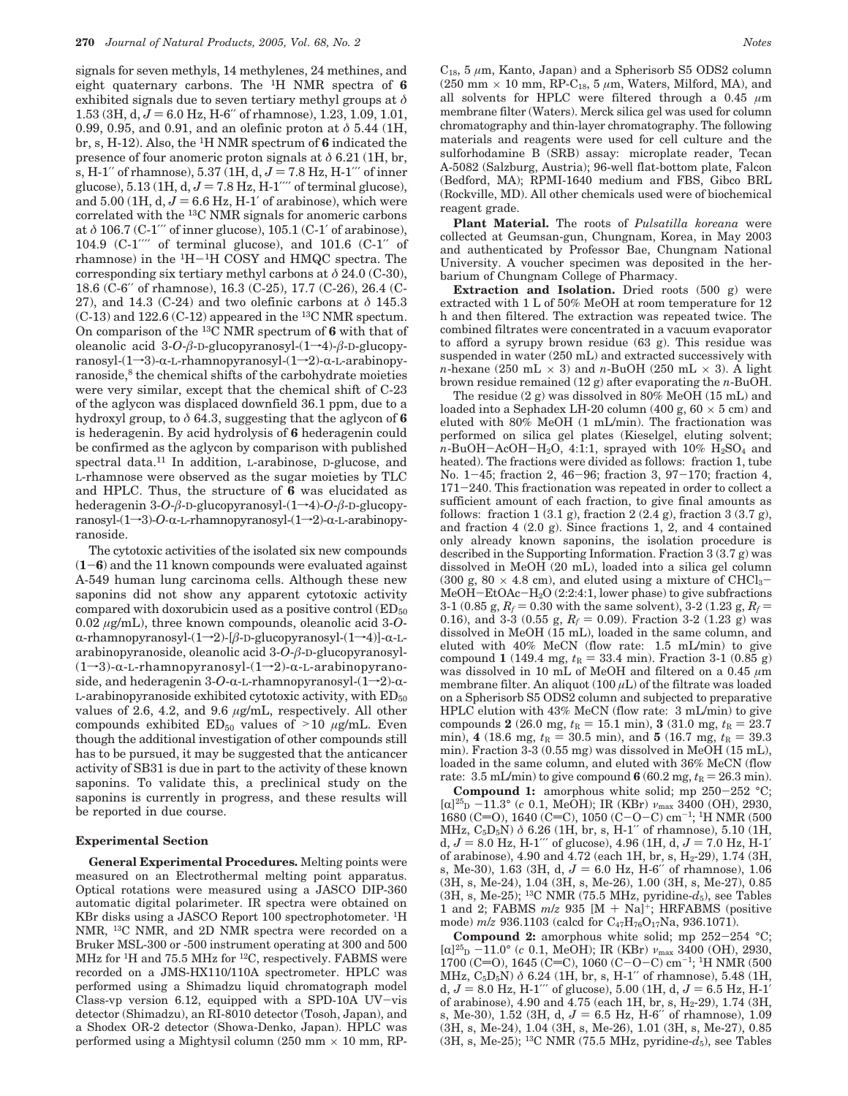signals for seven methyls, 14 methylenes, 24 methines, and eight quaternary carbons. The 1H NMR spectra of **6** exhibited signals due to seven tertiary methyl groups at *δ* 1.53 (3H, d,  $J = 6.0$  Hz, H-6″ of rhamnose), 1.23, 1.09, 1.01, 0.99, 0.95, and 0.91, and an olefinic proton at *δ* 5.44 (1H, br, s, H-12). Also, the 1H NMR spectrum of **6** indicated the presence of four anomeric proton signals at *δ* 6.21 (1H, br, s, H-1<sup>"</sup> of rhamnose),  $5.37(1H, d, J = 7.8 Hz, H-1'''$  of inner glucose),  $5.13 \, (\text{1H}, \text{d}, J = 7.8 \, \text{Hz}, \text{H-1}''$  of terminal glucose), and  $5.00$  (1H, d,  $J = 6.6$  Hz, H-1' of arabinose), which were correlated with the 13C NMR signals for anomeric carbons at *δ* 106.7 (C-1′′′ of inner glucose), 105.1 (C-1′ of arabinose), 104.9 (C-1′′′′ of terminal glucose), and 101.6 (C-1′′ of rhamnose) in the  ${}^{1}H-{}^{1}H$  COSY and HMQC spectra. The corresponding six tertiary methyl carbons at *δ* 24.0 (C-30), 18.6 (C-6′′ of rhamnose), 16.3 (C-25), 17.7 (C-26), 26.4 (C-27), and 14.3 (C-24) and two olefinic carbons at *δ* 145.3  $(C-13)$  and  $122.6$   $(C-12)$  appeared in the <sup>13</sup>C NMR spectum. On comparison of the 13C NMR spectrum of **6** with that of oleanolic acid  $3-O$ - $\beta$ -D-glucopyranosyl- $(1\rightarrow 4)$ - $\beta$ -D-glucopy $r$ anosyl- $(1\rightarrow 3)$ - $\alpha$ -L-rhamnopyranosyl- $(1\rightarrow 2)$ - $\alpha$ -L-arabinopyranoside,<sup>8</sup> the chemical shifts of the carbohydrate moieties were very similar, except that the chemical shift of C-23 of the aglycon was displaced downfield 36.1 ppm, due to a hydroxyl group, to *δ* 64.3, suggesting that the aglycon of **6** is hederagenin. By acid hydrolysis of **6** hederagenin could be confirmed as the aglycon by comparison with published spectral data.<sup>11</sup> In addition, L-arabinose, D-glucose, and L-rhamnose were observed as the sugar moieties by TLC and HPLC. Thus, the structure of **6** was elucidated as hederagenin 3-*O*-*β*-D-glucopyranosyl-(1→4)-*O*-*β*-D-glucopy $ransyl-(1\rightarrow 3)-O$ - $\alpha$ -L-rhamnopyranosyl- $(1\rightarrow 2)-\alpha$ -L-arabinopyranoside.

The cytotoxic activities of the isolated six new compounds (**1**-**6**) and the 11 known compounds were evaluated against A-549 human lung carcinoma cells. Although these new saponins did not show any apparent cytotoxic activity compared with doxorubicin used as a positive control  $\text{ (ED}_{50})$ 0.02 *µ*g/mL), three known compounds, oleanolic acid 3-*O*α-rhamnopyranosyl-(1→2)-[*β*-D-glucopyranosyl-(1→4)]-α-Larabinopyranoside, oleanolic acid 3-*O*-*â*-D-glucopyranosyl-  $(1\rightarrow 3)$ - $\alpha$ -L-rhamnopyranosyl- $(1\rightarrow 2)$ - $\alpha$ -L-arabinopyranoside, and hederagenin  $3-O-α-L-rhamnopy ranosyl-(1\rightarrow2)-α$  $L$ -arabinopyranoside exhibited cytotoxic activity, with  $ED_{50}$ values of 2.6, 4.2, and 9.6 *µ*g/mL, respectively. All other compounds exhibited ED<sub>50</sub> values of >10  $\mu$ g/mL. Even though the additional investigation of other compounds still has to be pursued, it may be suggested that the anticancer activity of SB31 is due in part to the activity of these known saponins. To validate this, a preclinical study on the saponins is currently in progress, and these results will be reported in due course.

## **Experimental Section**

**General Experimental Procedures.** Melting points were measured on an Electrothermal melting point apparatus. Optical rotations were measured using a JASCO DIP-360 automatic digital polarimeter. IR spectra were obtained on KBr disks using a JASCO Report 100 spectrophotometer. 1H NMR, 13C NMR, and 2D NMR spectra were recorded on a Bruker MSL-300 or -500 instrument operating at 300 and 500 MHz for 1H and 75.5 MHz for 12C, respectively. FABMS were recorded on a JMS-HX110/110A spectrometer. HPLC was performed using a Shimadzu liquid chromatograph model Class-vp version 6.12, equipped with a SPD-10A UV-vis detector (Shimadzu), an RI-8010 detector (Tosoh, Japan), and a Shodex OR-2 detector (Showa-Denko, Japan). HPLC was performed using a Mightysil column  $(250 \text{ mm} \times 10 \text{ mm}, \text{RP}$ - C18, 5 *µ*m, Kanto, Japan) and a Spherisorb S5 ODS2 column (250 mm  $\times$  10 mm, RP-C<sub>18</sub>, 5  $\mu$ m, Waters, Milford, MA), and all solvents for HPLC were filtered through a 0.45 *µ*m membrane filter (Waters). Merck silica gel was used for column chromatography and thin-layer chromatography. The following materials and reagents were used for cell culture and the sulforhodamine B (SRB) assay: microplate reader, Tecan A-5082 (Salzburg, Austria); 96-well flat-bottom plate, Falcon (Bedford, MA); RPMI-1640 medium and FBS, Gibco BRL (Rockville, MD). All other chemicals used were of biochemical reagent grade.

**Plant Material.** The roots of *Pulsatilla koreana* were collected at Geumsan-gun, Chungnam, Korea, in May 2003 and authenticated by Professor Bae, Chungnam National University. A voucher specimen was deposited in the herbarium of Chungnam College of Pharmacy.

**Extraction and Isolation.** Dried roots (500 g) were extracted with 1 L of 50% MeOH at room temperature for 12 h and then filtered. The extraction was repeated twice. The combined filtrates were concentrated in a vacuum evaporator to afford a syrupy brown residue (63 g). This residue was suspended in water (250 mL) and extracted successively with *n*-hexane (250 mL  $\times$  3) and *n*-BuOH (250 mL  $\times$  3). A light brown residue remained (12 g) after evaporating the *n*-BuOH.

The residue (2 g) was dissolved in 80% MeOH (15 mL) and loaded into a Sephadex LH-20 column (400 g,  $60 \times 5$  cm) and eluted with 80% MeOH (1 mL/min). The fractionation was performed on silica gel plates (Kieselgel, eluting solvent;  $n$ -BuOH-AcOH-H<sub>2</sub>O, 4:1:1, sprayed with 10% H<sub>2</sub>SO<sub>4</sub> and heated). The fractions were divided as follows: fraction 1, tube No. 1-45; fraction 2, 46-96; fraction 3, 97-170; fraction 4, <sup>171</sup>-240. This fractionation was repeated in order to collect a sufficient amount of each fraction, to give final amounts as follows: fraction  $1(3.1 \text{ g})$ , fraction  $2(2.4 \text{ g})$ , fraction  $3(3.7 \text{ g})$ , and fraction 4 (2.0 g). Since fractions 1, 2, and 4 contained only already known saponins, the isolation procedure is described in the Supporting Information. Fraction 3 (3.7 g) was dissolved in MeOH (20 mL), loaded into a silica gel column (300 g, 80  $\times$  4.8 cm), and eluted using a mixture of CHCl<sub>3</sub>-MeOH-EtOAc-H2O (2:2:4:1, lower phase) to give subfractions 3-1 (0.85 g,  $R_f = 0.30$  with the same solvent), 3-2 (1.23 g,  $R_f =$ 0.16), and 3-3 (0.55 g,  $R_f = 0.09$ ). Fraction 3-2 (1.23 g) was dissolved in MeOH (15 mL), loaded in the same column, and eluted with 40% MeCN (flow rate: 1.5 mL/min) to give compound **1** (149.4 mg,  $t_R = 33.4$  min). Fraction 3-1 (0.85 g) was dissolved in 10 mL of MeOH and filtered on a 0.45 *µ*m membrane filter. An aliquot  $(100 \mu L)$  of the filtrate was loaded on a Spherisorb S5 ODS2 column and subjected to preparative HPLC elution with 43% MeCN (flow rate: 3 mL/min) to give compounds **2** (26.0 mg,  $t_R = 15.1$  min), **3** (31.0 mg,  $t_R = 23.7$ min), **4** (18.6 mg,  $t_R = 30.5$  min), and **5** (16.7 mg,  $t_R = 39.3$ min). Fraction 3-3 (0.55 mg) was dissolved in MeOH (15 mL), loaded in the same column, and eluted with 36% MeCN (flow rate:  $3.5 \text{ mL/min}$  to give compound  $6(60.2 \text{ mg}, t_R = 26.3 \text{ min}).$ 

**Compound 1:** amorphous white solid; mp 250-252 °C; [R]25D -11.3° (*<sup>c</sup>* 0.1, MeOH); IR (KBr) *<sup>ν</sup>*max 3400 (OH), 2930, 1680 (C=O), 1640 (C=C), 1050 (C-O-C) cm<sup>-1</sup>; <sup>1</sup>H NMR (500 MHz, C<sub>5</sub>D<sub>5</sub>N)  $\delta$  6.26 (1H, br, s, H-1″ of rhamnose), 5.10 (1H, d,  $J = 8.0$  Hz, H-1<sup> $\prime\prime\prime$ </sup> of glucose), 4.96 (1H, d,  $J = 7.0$  Hz, H-1<sup> $\prime$ </sup> of arabinose), 4.90 and 4.72 (each 1H, br, s,  $H_2$ -29), 1.74 (3H, s, Me-30), 1.63 (3H, d,  $J = 6.0$  Hz, H-6″ of rhamnose), 1.06 (3H, s, Me-24), 1.04 (3H, s, Me-26), 1.00 (3H, s, Me-27), 0.85 (3H, s, Me-25); <sup>13</sup>C NMR (75.5 MHz, pyridine- $d_5$ ), see Tables 1 and 2; FABMS  $m/z$  935 [M + Na]<sup>+</sup>; HRFABMS (positive mode)  $m/z$  936.1103 (calcd for  $\rm{C_{47}H_{76}O_{17}Na,}$  936.1071).

**Compound 2:** amorphous white solid; mp 252-254 °C;  $[\alpha]^{25}$ <sub>D</sub>  $-11.0^{\circ}$  (*c* 0.1, MeOH); IR (KBr)  $\nu_{\text{max}}$  3400 (OH), 2930,  $1700$  (C=O), 1645 (C=C), 1060 (C-O-C) cm<sup>-1</sup>; <sup>1</sup>H NMR (500 MHz, C<sub>5</sub>D<sub>5</sub>N)  $\delta$  6.24 (1H, br, s, H-1" of rhamnose), 5.48 (1H, d,  $J = 8.0$  Hz, H-1<sup> $\prime\prime\prime$ </sup> of glucose), 5.00 (1H, d,  $J = 6.5$  Hz, H-1<sup> $\prime$ </sup> of arabinose), 4.90 and 4.75 (each 1H, br, s,  $H_2$ -29), 1.74 (3H, s, Me-30),  $1.52$  (3H, d,  $J = 6.5$  Hz, H-6″ of rhamnose),  $1.09$ (3H, s, Me-24), 1.04 (3H, s, Me-26), 1.01 (3H, s, Me-27), 0.85 (3H, s, Me-25); 13C NMR (75.5 MHz, pyridine-*d*5), see Tables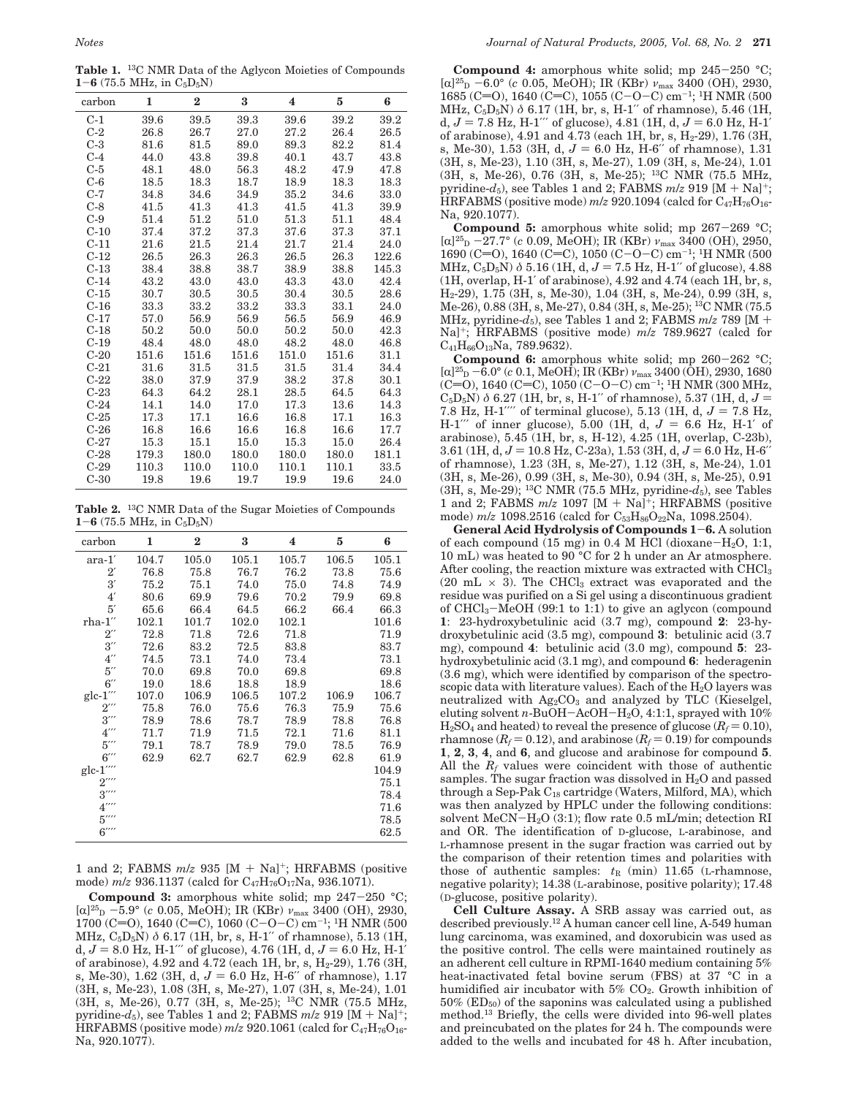**Table 1.** 13C NMR Data of the Aglycon Moieties of Compounds  $1 - 6$  (75.5 MHz, in  $C_5D_5N$ )

|        |       | $\bf{2}$ | 3     |       |       |       |
|--------|-------|----------|-------|-------|-------|-------|
| carbon | 1     |          |       | 4     | 5     | 6     |
| $C-1$  | 39.6  | 39.5     | 39.3  | 39.6  | 39.2  | 39.2  |
| $C-2$  | 26.8  | 26.7     | 27.0  | 27.2  | 26.4  | 26.5  |
| $C-3$  | 81.6  | 81.5     | 89.0  | 89.3  | 82.2  | 81.4  |
| $C-4$  | 44.0  | 43.8     | 39.8  | 40.1  | 43.7  | 43.8  |
| $C-5$  | 48.1  | 48.0     | 56.3  | 48.2  | 47.9  | 47.8  |
| $C-6$  | 18.5  | 18.3     | 18.7  | 18.9  | 18.3  | 18.3  |
| $C-7$  | 34.8  | 34.6     | 34.9  | 35.2  | 34.6  | 33.0  |
| $C-8$  | 41.5  | 41.3     | 41.3  | 41.5  | 41.3  | 39.9  |
| $C-9$  | 51.4  | 51.2     | 51.0  | 51.3  | 51.1  | 48.4  |
| $C-10$ | 37.4  | 37.2     | 37.3  | 37.6  | 37.3  | 37.1  |
| $C-11$ | 21.6  | 21.5     | 21.4  | 21.7  | 21.4  | 24.0  |
| $C-12$ | 26.5  | 26.3     | 26.3  | 26.5  | 26.3  | 122.6 |
| $C-13$ | 38.4  | 38.8     | 38.7  | 38.9  | 38.8  | 145.3 |
| $C-14$ | 43.2  | 43.0     | 43.0  | 43.3  | 43.0  | 42.4  |
| $C-15$ | 30.7  | 30.5     | 30.5  | 30.4  | 30.5  | 28.6  |
| $C-16$ | 33.3  | 33.2     | 33.2  | 33.3  | 33.1  | 24.0  |
| $C-17$ | 57.0  | 56.9     | 56.9  | 56.5  | 56.9  | 46.9  |
| $C-18$ | 50.2  | 50.0     | 50.0  | 50.2  | 50.0  | 42.3  |
| $C-19$ | 48.4  | 48.0     | 48.0  | 48.2  | 48.0  | 46.8  |
| $C-20$ | 151.6 | 151.6    | 151.6 | 151.0 | 151.6 | 31.1  |
| $C-21$ | 31.6  | 31.5     | 31.5  | 31.5  | 31.4  | 34.4  |
| $C-22$ | 38.0  | 37.9     | 37.9  | 38.2  | 37.8  | 30.1  |
| $C-23$ | 64.3  | 64.2     | 28.1  | 28.5  | 64.5  | 64.3  |
| $C-24$ | 14.1  | 14.0     | 17.0  | 17.3  | 13.6  | 14.3  |
| $C-25$ | 17.3  | 17.1     | 16.6  | 16.8  | 17.1  | 16.3  |
| $C-26$ | 16.8  | 16.6     | 16.6  | 16.8  | 16.6  | 17.7  |
| $C-27$ | 15.3  | 15.1     | 15.0  | 15.3  | 15.0  | 26.4  |
| $C-28$ | 179.3 | 180.0    | 180.0 | 180.0 | 180.0 | 181.1 |
| $C-29$ | 110.3 | 110.0    | 110.0 | 110.1 | 110.1 | 33.5  |
| $C-30$ | 19.8  | 19.6     | 19.7  | 19.9  | 19.6  | 24.0  |

**Table 2.** 13C NMR Data of the Sugar Moieties of Compounds  $1 - 6$  (75.5 MHz, in  $C_5D_5N$ )

| carbon                                       | 1     | $\bf{2}$ | 3     | $\overline{\mathbf{4}}$ | 5     | 6     |
|----------------------------------------------|-------|----------|-------|-------------------------|-------|-------|
| $\mbox{ara-1}^\prime$                        | 104.7 | 105.0    | 105.1 | 105.7                   | 106.5 | 105.1 |
| $2^{\prime}$                                 | 76.8  | 75.8     | 76.7  | 76.2                    | 73.8  | 75.6  |
| 3'                                           | 75.2  | 75.1     | 74.0  | 75.0                    | 74.8  | 74.9  |
| 4'                                           | 80.6  | 69.9     | 79.6  | 70.2                    | 79.9  | 69.8  |
| 5'                                           | 65.6  | 66.4     | 64.5  | 66.2                    | 66.4  | 66.3  |
| $r$ ha- $1$ "                                | 102.1 | 101.7    | 102.0 | 102.1                   |       | 101.6 |
| $2^{\prime\prime}$                           | 72.8  | 71.8     | 72.6  | 71.8                    |       | 71.9  |
| $3^{\prime\prime}$                           | 72.6  | 83.2     | 72.5  | 83.8                    |       | 83.7  |
| $4^{\prime\prime}$                           | 74.5  | 73.1     | 74.0  | 73.4                    |       | 73.1  |
| $5^{\prime\prime}$                           | 70.0  | 69.8     | 70.0  | 69.8                    |       | 69.8  |
| $6^{\prime\prime}$                           | 19.0  | 18.6     | 18.8  | 18.9                    |       | 18.6  |
| $\mathrm{glc}\text{-}1^{\prime\prime\prime}$ | 107.0 | 106.9    | 106.5 | 107.2                   | 106.9 | 106.7 |
| $2^{\prime\prime\prime}$                     | 75.8  | 76.0     | 75.6  | 76.3                    | 75.9  | 75.6  |
| $3^{\prime\prime\prime}$                     | 78.9  | 78.6     | 78.7  | 78.9                    | 78.8  | 76.8  |
| $4^{\prime\prime\prime}$                     | 71.7  | 71.9     | 71.5  | 72.1                    | 71.6  | 81.1  |
| $5^{\prime\prime\prime}$                     | 79.1  | 78.7     | 78.9  | 79.0                    | 78.5  | 76.9  |
| $6^{\prime\prime\prime}$                     | 62.9  | 62.7     | 62.7  | 62.9                    | 62.8  | 61.9  |
| glc-1 $^{\prime\prime\prime\prime}$          |       |          |       |                         |       | 104.9 |
| $2^{\prime\prime\prime\prime}$               |       |          |       |                         |       | 75.1  |
| $3^{\prime\prime\prime\prime}$               |       |          |       |                         |       | 78.4  |
| $4^{\prime\prime\prime\prime}$               |       |          |       |                         |       | 71.6  |
| $5^{\prime\prime\prime\prime}$               |       |          |       |                         |       | 78.5  |
| 6''''                                        |       |          |       |                         |       | 62.5  |

1 and 2; FABMS *<sup>m</sup>*/*<sup>z</sup>* 935 [M <sup>+</sup> Na]+; HRFABMS (positive mode) *m*/*z* 936.1137 (calcd for C47H76O17Na, 936.1071).

**Compound 3:** amorphous white solid; mp 247-250 °C; [α]<sup>25</sup><sub>D</sub> -5.9° (*c* 0.05, MeOH); IR (KBr)  $v_{\text{max}}$  3400 (OH), 2930,  $1700$  (C=O), 1640 (C=C), 1060 (C-O-C) cm<sup>-1</sup>; <sup>1</sup>H NMR (500 MHz, C5D5N) *δ* 6.17 (1H, br, s, H-1′′ of rhamnose), 5.13 (1H, d,  $J = 8.0$  Hz, H-1<sup> $\prime\prime\prime$ </sup> of glucose), 4.76 (1H, d,  $J = 6.0$  Hz, H-1<sup> $\prime\prime$ </sup> of arabinose), 4.92 and 4.72 (each 1H, br, s,  $H_2$ -29), 1.76 (3H, s, Me-30), 1.62 (3H, d,  $J = 6.0$  Hz, H-6″ of rhamnose),  $1.17$ (3H, s, Me-23), 1.08 (3H, s, Me-27), 1.07 (3H, s, Me-24), 1.01 (3H, s, Me-26), 0.77 (3H, s, Me-25); 13C NMR (75.5 MHz, pyridine- $d_5$ ), see Tables 1 and 2; FABMS  $m/z$  919 [M + Na]<sup>+</sup>; HRFABMS (positive mode)  $m/z$  920.1061 (calcd for  $C_{47}H_{76}O_{16}$ Na, 920.1077).

**Compound 4:** amorphous white solid; mp 245-250 °C;  $[\alpha]^{25}$ <sub>D</sub> -6.0° (*c* 0.05, MeOH); IR (KBr)  $\nu_{\text{max}}$  3400 (OH), 2930, 1685 (C=O), 1640 (C=C), 1055 (C-O-C) cm<sup>-1</sup>; <sup>1</sup>H NMR (500 MHz, C<sub>5</sub>D<sub>5</sub>N) *δ* 6.17 (1H, br, s, H-1″ of rhamnose), 5.46 (1H, d,  $J = 7.8$  Hz, H-1<sup>′′</sup> of glucose), 4.81 (1H, d,  $J = 6.0$  Hz, H-1<sup>'</sup> d, *J* = 7.8 Hz, H-1<sup>*'''*</sup> of glucose), 4.81 (1H, d, *J* = 6.0 Hz, H-1<sup>'</sup> of arabinose), 4.91 and 4.73 (each 1H, br, s, H<sub>2</sub>-29), 1.76 (3H, s, Me-30), 1.53 (3H, d,  $J = 6.0$  Hz, H-6″ of rhamnose), 1.31 (3H, s, Me-23), 1.10 (3H, s, Me-27), 1.09 (3H, s, Me-24), 1.01 (3H, s, Me-26), 0.76 (3H, s, Me-25); 13C NMR (75.5 MHz, pyridine- $d_5$ ), see Tables 1 and 2; FABMS  $m/z$  919 [M + Na]<sup>+</sup>; HRFABMS (positive mode)  $m/z$  920.1094 (calcd for  $C_{47}H_{76}O_{16}$ -Na, 920.1077).

**Compound 5:** amorphous white solid; mp 267-269 °C;  $[\alpha]^{25}$ <sub>D</sub> -27.7° (*c* 0.09, MeOH); IR (KBr)  $\nu_{\text{max}}$  3400 (OH), 2950, [R]25D -27.7° (*<sup>c</sup>* 0.09, MeOH); IR (KBr) *<sup>ν</sup>*max 3400 (OH), 2950, 1690 (C=O), 1640 (C=C), 1050 (C-O-C) cm<sup>-1</sup>; <sup>1</sup>H NMR (500<br>MHz, C<sub>c</sub>D<sub>r</sub>N)  $\delta$  5.16 (1H d, J = 7.5 Hz, H-1" of glucose), 4.88 MHz,  $C_5D_5N$ )  $\delta$  5.16 (1H, d,  $J = 7.5$  Hz, H-1″ of glucose), 4.88 (1H, overlap, H-1′ of arabinose), 4.92 and 4.74 (each 1H, br, s, H2-29), 1.75 (3H, s, Me-30), 1.04 (3H, s, Me-24), 0.99 (3H, s, Me-26), 0.88 (3H, s, Me-27), 0.84 (3H, s, Me-25); 13C NMR (75.5 MHz, pyridine- $d_5$ ), see Tables 1 and 2; FABMS  $m/z$  789 [M + Na]+; HRFABMS (positive mode) *m*/*z* 789.9627 (calcd for  $C_{41}H_{66}O_{13}Na$ , 789.9632).

**Compound 6:** amorphous white solid; mp 260-262 °C; [α]<sup>25</sup><sub>D</sub> –6.0° (*c* 0.1, MeOH); IR (KBr) *ν*<sub>max</sub> 3400 (OH), 2930, 1680<br>(C=O) 1640 (C=C) 1050 (C–O–C) cm<sup>-1, 1</sup>H NMR (300 MHz) (C=O), 1640 (C=C), 1050 (C-O-C) cm<sup>-1</sup>; <sup>1</sup>H NMR (300 MHz, C<sub>5</sub>D<sub>5</sub>N)  $\delta$  6.27 (1H, br, s, H-1" of rhamnose), 5.37 (1H, d, J =  $C_5D_5N$ )  $\delta$  6.27 (1H, br, s, H-1″ of rhamnose), 5.37 (1H, d,  $J = 7.8$  Hz, H-1″″ of terminal glucose), 5.13 (1H, d,  $J = 7.8$  Hz 7.8 Hz, H-1<sup>*''''*</sup> of terminal glucose), 5.13 (1H, d,  $J = 7.8$  Hz,  $H = 1'$ <sup>''</sup> of inner glucose), 5.00 (1H, d,  $J = 6.6$  Hz, H-1<sup>'</sup> of H-1<sup> $''$ </sup> of inner glucose), 5.00 (1H, d,  $J = 6.6$  Hz, H-1<sup> $\prime$ </sup> of arabinose), 5.45 (1H, br, s, H-12), 4.25 (1H, overlap, C-23b), 3.61 (1H, d,  $J = 10.8$  Hz, C-23a), 1.53 (3H, d,  $J = 6.0$  Hz, H-6<sup> $\prime$ </sup> of rhamnose), 1.23 (3H, s, Me-27), 1.12 (3H, s, Me-24), 1.01 (3H, s, Me-26), 0.99 (3H, s, Me-30), 0.94 (3H, s, Me-25), 0.91 (3H, s, Me-29); <sup>13</sup>C NMR (75.5 MHz, pyridine- $d_5$ ), see Tables 1 and 2; FABMS *<sup>m</sup>*/*<sup>z</sup>* 1097 [M <sup>+</sup> Na]+; HRFABMS (positive mode)  $m/z$  1098.2516 (calcd for C<sub>53</sub>H<sub>86</sub>O<sub>22</sub>Na, 1098.2504).

**General Acid Hydrolysis of Compounds 1**-**6.** A solution of each compound  $(15 \text{ mg})$  in 0.4 M HCl (dioxane-H<sub>2</sub>O, 1:1, 10 mL) was heated to 90 °C for 2 h under an Ar atmosphere. After cooling, the reaction mixture was extracted with CHCl<sub>3</sub>  $(20 \text{ mL} \times 3)$ . The CHCl<sub>3</sub> extract was evaporated and the residue was purified on a Si gel using a discontinuous gradient of  $CHCl<sub>3</sub>–MeOH$  (99:1 to 1:1) to give an aglycon (compound **1**: 23-hydroxybetulinic acid (3.7 mg), compound **2**: 23-hydroxybetulinic acid (3.5 mg), compound **3**: betulinic acid (3.7 mg), compound **4**: betulinic acid (3.0 mg), compound **5**: 23 hydroxybetulinic acid (3.1 mg), and compound **6**: hederagenin (3.6 mg), which were identified by comparison of the spectroscopic data with literature values). Each of the  $H_2O$  layers was neutralized with  $Ag_2CO_3$  and analyzed by TLC (Kieselgel, eluting solvent *<sup>n</sup>*-BuOH-AcOH-H2O, 4:1:1, sprayed with 10%  $H<sub>2</sub>SO<sub>4</sub>$  and heated) to reveal the presence of glucose  $(R_f = 0.10)$ , rhamnose  $(R_f = 0.12)$ , and arabinose  $(R_f = 0.19)$  for compounds **1**, **2**, **3**, **4**, and **6**, and glucose and arabinose for compound **5**. All the *Rf* values were coincident with those of authentic samples. The sugar fraction was dissolved in  $H_2O$  and passed through a Sep-Pak  $C_{18}$  cartridge (Waters, Milford, MA), which was then analyzed by HPLC under the following conditions: solvent  $MeCN-H<sub>2</sub>O$  (3:1); flow rate 0.5 mL/min; detection RI and OR. The identification of D-glucose, L-arabinose, and L-rhamnose present in the sugar fraction was carried out by the comparison of their retention times and polarities with those of authentic samples:  $t<sub>R</sub>$  (min) 11.65 (L-rhamnose, negative polarity); 14.38 (L-arabinose, positive polarity); 17.48 (D-glucose, positive polarity).

**Cell Culture Assay.** A SRB assay was carried out, as described previously.12 A human cancer cell line, A-549 human lung carcinoma, was examined, and doxorubicin was used as the positive control. The cells were maintained routinely as an adherent cell culture in RPMI-1640 medium containing 5% heat-inactivated fetal bovine serum (FBS) at 37 °C in a humidified air incubator with 5% CO<sub>2</sub>. Growth inhibition of  $50\%$  (ED<sub>50</sub>) of the saponins was calculated using a published method.13 Briefly, the cells were divided into 96-well plates and preincubated on the plates for 24 h. The compounds were added to the wells and incubated for 48 h. After incubation,